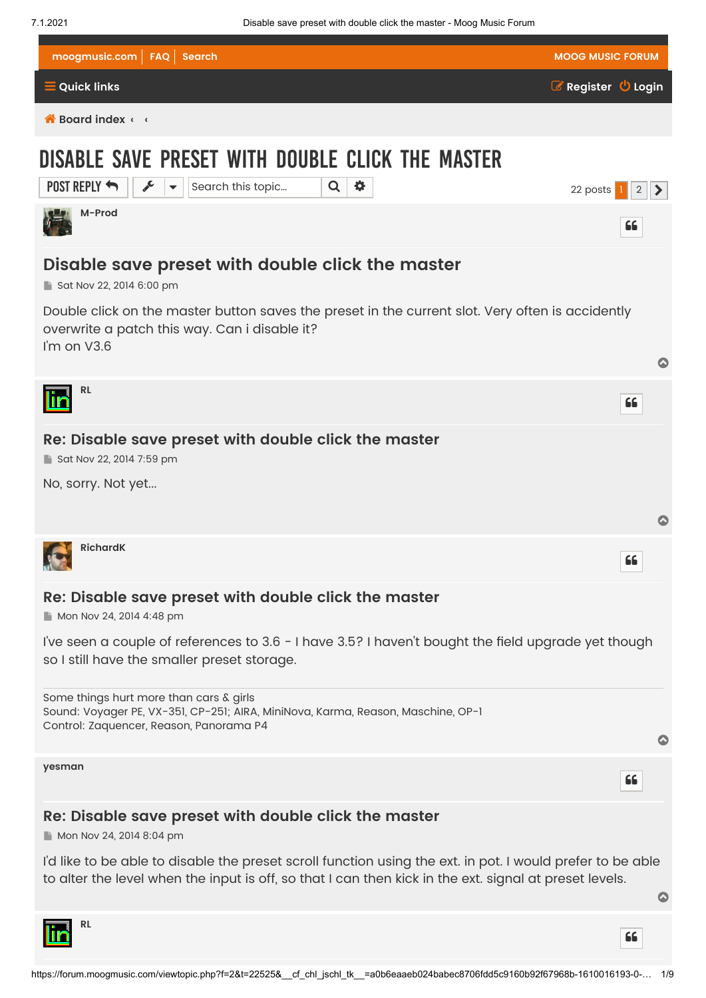<span id="page-0-4"></span><span id="page-0-3"></span><span id="page-0-2"></span><span id="page-0-1"></span><span id="page-0-0"></span>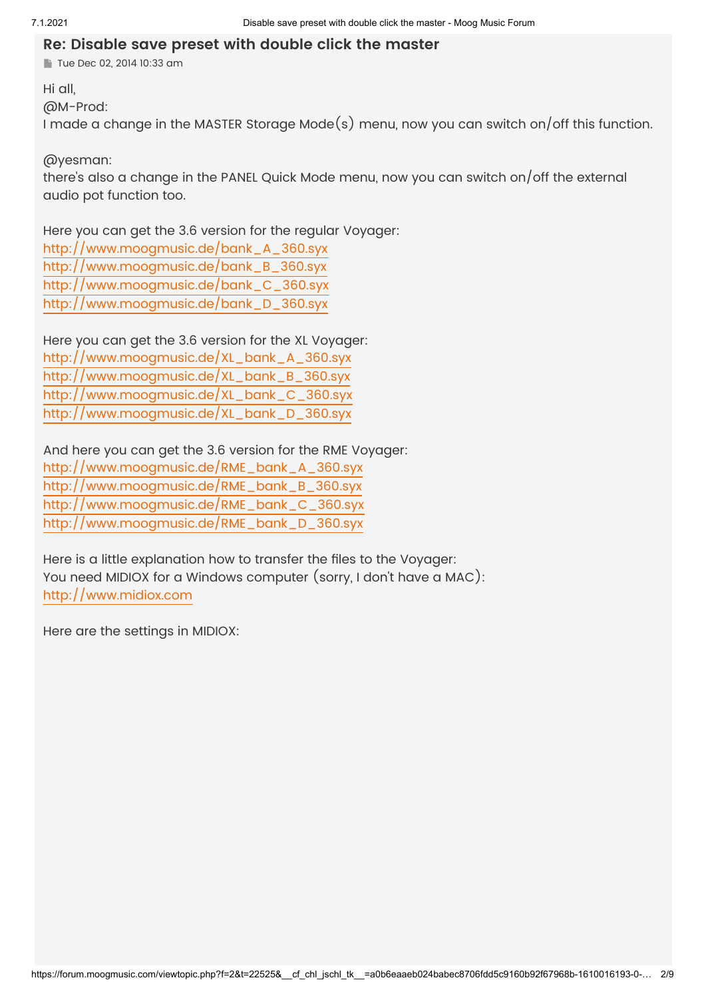### **Re: [Disable](#page-0-4) save preset with double click the master**

Tue Dec 02, 2014 10:33 am

Hi all,

@M-Prod:

I made a change in the MASTER Storage Mode(s) menu, now you can switch on/off this function.

@yesman:

there's also a change in the PANEL Quick Mode menu, now you can switch on/off the external audio pot function too.

Here you can get the 3.6 version for the regular Voyager:

[http://www.moogmusic.de/bank\\_A\\_360.syx](http://www.moogmusic.de/bank_A_360.syx) [http://www.moogmusic.de/bank\\_B\\_360.syx](http://www.moogmusic.de/bank_B_360.syx) [http://www.moogmusic.de/bank\\_C\\_360.syx](http://www.moogmusic.de/bank_C_360.syx) [http://www.moogmusic.de/bank\\_D\\_360.syx](http://www.moogmusic.de/bank_D_360.syx)

Here you can get the 3.6 version for the XL Voyager:

[http://www.moogmusic.de/XL\\_bank\\_A\\_360.syx](http://www.moogmusic.de/XL_bank_A_360.syx) [http://www.moogmusic.de/XL\\_bank\\_B\\_360.syx](http://www.moogmusic.de/XL_bank_B_360.syx) [http://www.moogmusic.de/XL\\_bank\\_C\\_360.syx](http://www.moogmusic.de/XL_bank_C_360.syx) [http://www.moogmusic.de/XL\\_bank\\_D\\_360.syx](http://www.moogmusic.de/XL_bank_D_360.syx)

And here you can get the 3.6 version for the RME Voyager: [http://www.moogmusic.de/RME\\_bank\\_A\\_360.syx](http://www.moogmusic.de/RME_bank_A_360.syx) [http://www.moogmusic.de/RME\\_bank\\_B\\_360.syx](http://www.moogmusic.de/RME_bank_B_360.syx) [http://www.moogmusic.de/RME\\_bank\\_C\\_360.syx](http://www.moogmusic.de/RME_bank_C_360.syx) [http://www.moogmusic.de/RME\\_bank\\_D\\_360.syx](http://www.moogmusic.de/RME_bank_D_360.syx)

Here is a little explanation how to transfer the files to the Voyager: You need MIDIOX for a Windows computer (sorry, I don't have a MAC): [http://www.midiox.com](http://www.midiox.com/)

Here are the settings in MIDIOX: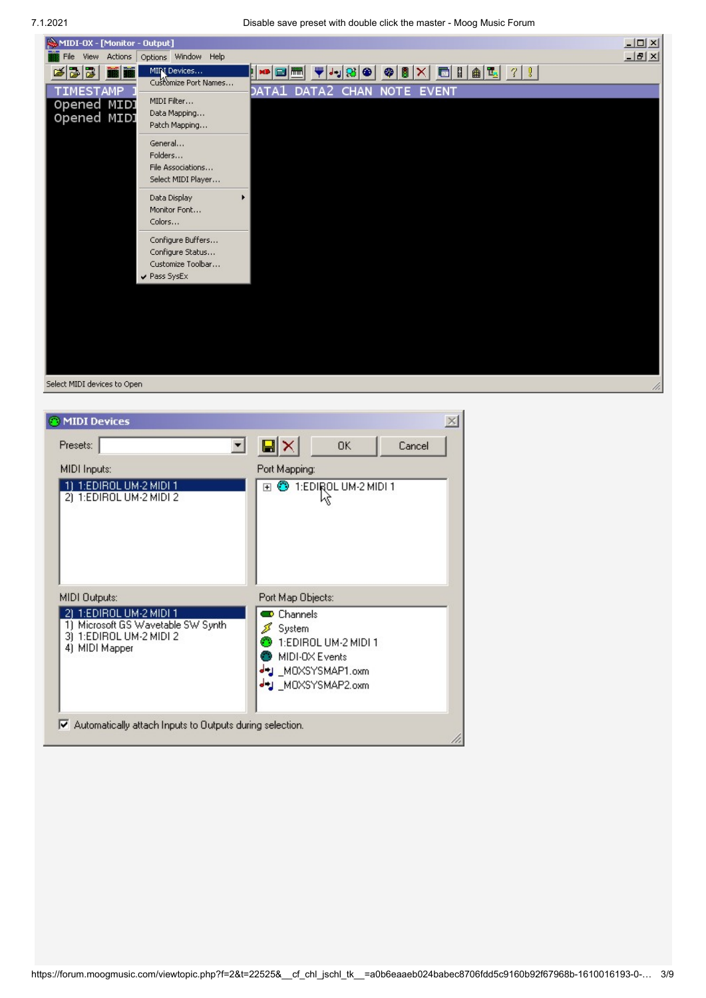

**MIDI Devices**  $\times$  $\overline{\phantom{0}}$ **ex** Presets: **OK** Cancel MIDI Inputs: Port Mapping: 1) 1:EDIROL UM-2 MIDI 1 田 © 1:EDIROL UM-2 MIDI 1 2) 1:EDIROL UM-2 MIDI 2 YY MIDI Outputs: Port Map Objects: 2) 1:EDIROL UM-2 MIDI 1 Channels 1) Microsoft GS Wavetable SW Synth<br>3) 1:EDIROL UM-2 MIDI 2 System 1:EDIROL UM-2 MIDI 1 4) MIDI Mapper MIDI-OX Events J-J\_MOXSYSMAP1.oxm Jul\_MOXSYSMAP2.oxm Ⅳ Automatically attach Inputs to Outputs during selection.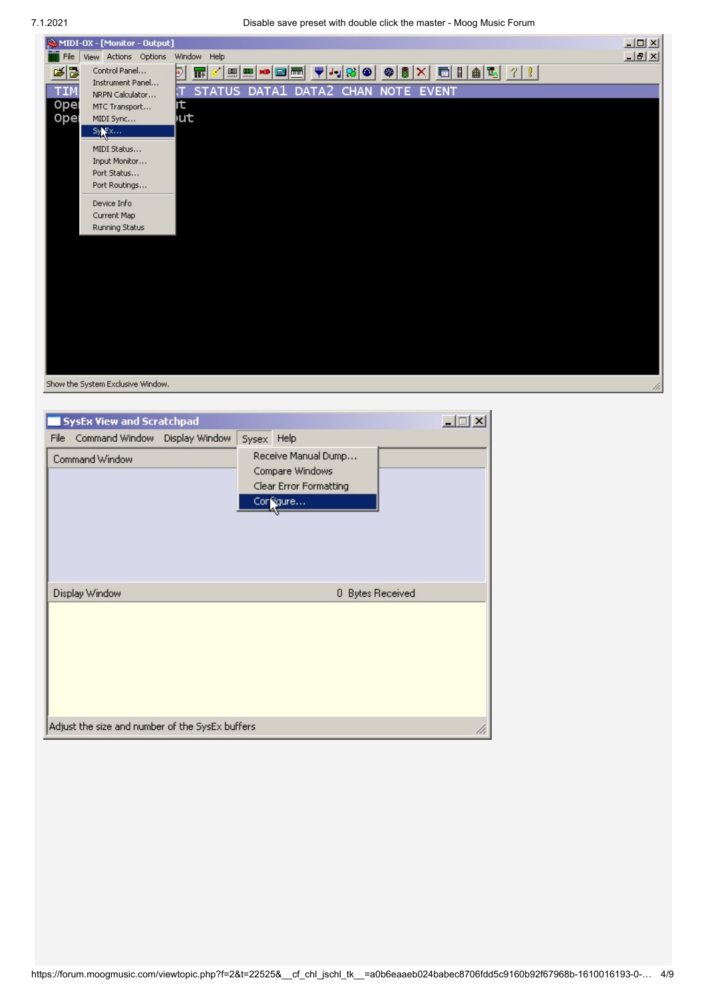

Show the System Exclusive Window.

| <b>SysEx View and Scratchpad</b>                |  |       |                                                                               | $ \Box$ $\times$ |
|-------------------------------------------------|--|-------|-------------------------------------------------------------------------------|------------------|
| Command Window   Display Window<br>File         |  | Sysex | Help                                                                          |                  |
| Command Window                                  |  |       | Receive Manual Dump<br>Compare Windows<br>Clear Error Formatting<br>Configure |                  |
| Display Window                                  |  |       | 0 Bytes Received                                                              |                  |
| Adjust the size and number of the SysEx buffers |  |       |                                                                               |                  |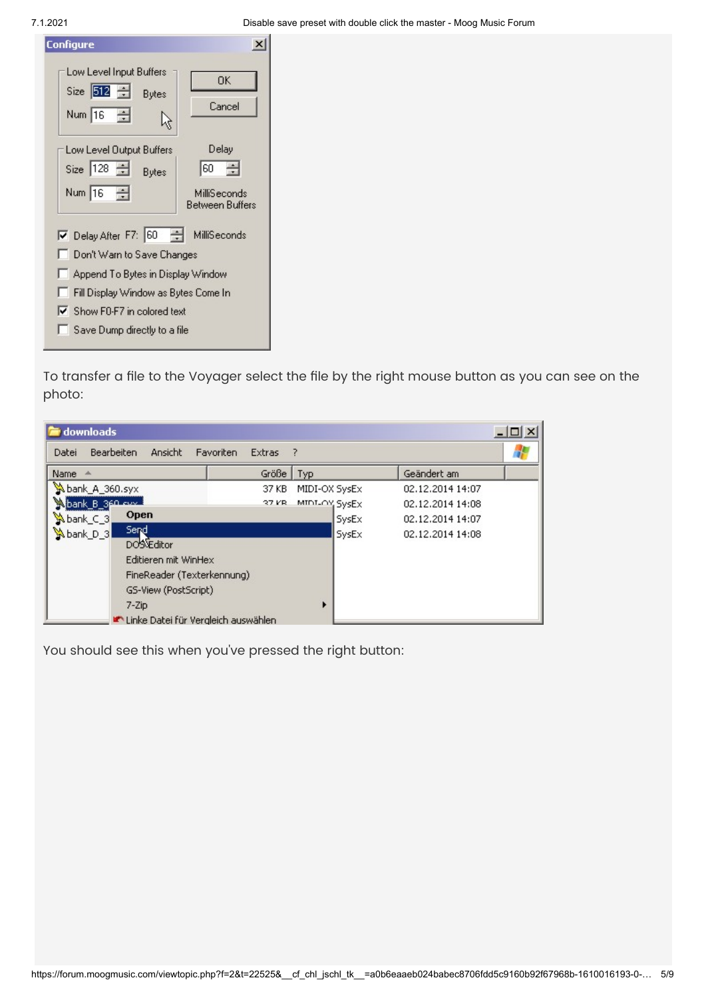| <b>Configure</b>                                                                                                                                                                                                             |                                                                        |
|------------------------------------------------------------------------------------------------------------------------------------------------------------------------------------------------------------------------------|------------------------------------------------------------------------|
| Low Level Input Buffers<br>Size $512 - 1$<br><b>Bytes</b><br>Num 16                                                                                                                                                          | 0K<br>Cancel                                                           |
| Low Level Output Buffers<br>Size 128 $\div$<br><b>Bytes</b><br>Num 16 -                                                                                                                                                      | Delay<br>60<br>$\div$<br><b>MilliSeconds</b><br><b>Between Buffers</b> |
| $\triangledown$ Delay After F7: 60<br>Don't Warn to Save Changes<br>Append To Bytes in Display Window<br>Fill Display Window as Bytes Come In<br>$\triangleright$ Show F0-F7 in colored text<br>Save Dump directly to a file | MilliSeconds                                                           |

To transfer a file to the Voyager select the file by the right mouse button as you can see on the photo:

| downloads           |                                     |                     |                |                  |  |
|---------------------|-------------------------------------|---------------------|----------------|------------------|--|
| Bearbeiten<br>Datei | Ansicht                             | Favoriten<br>Extras | $\mathbb{R}^+$ |                  |  |
| Name $\triangleq$   |                                     | Größe   Typ         |                | Geändert am      |  |
| bank_A_360.syx      |                                     | 37 KB               | MIDI-OX SysEx  | 02.12.2014 14:07 |  |
| bank B 360 evy      |                                     | 37 VR               | MIDI-OY SysEx  | 02.12.2014 14:08 |  |
| bank_C_3            | <b>Open</b>                         |                     | SysEx          | 02.12.2014 14:07 |  |
| bank_D_3            | Send                                |                     | SysEx          | 02.12.2014 14:08 |  |
|                     | DOS Editor                          |                     |                |                  |  |
|                     | Editieren mit WinHex                |                     |                |                  |  |
|                     | FineReader (Texterkennung)          |                     |                |                  |  |
|                     | GS-View (PostScript)                |                     |                |                  |  |
|                     | $7 - Zip$                           |                     |                |                  |  |
|                     | Linke Datei für Vergleich auswählen |                     |                |                  |  |

You should see this when you've pressed the right button: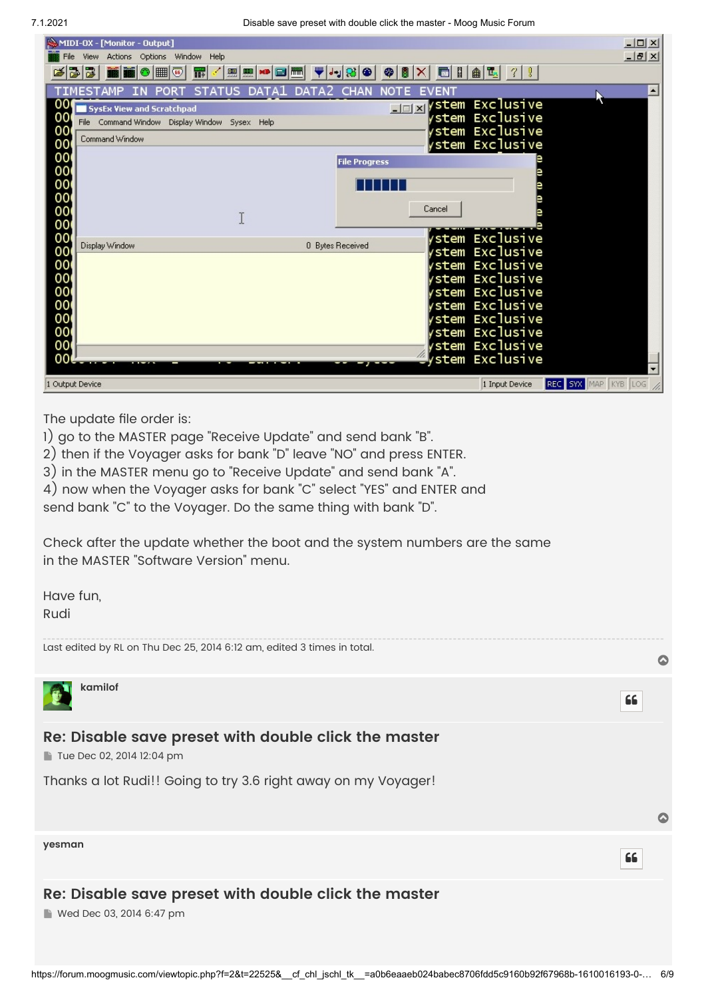

The update file order is:

1) go to the MASTER page "Receive Update" and send bank "B".

2) then if the Voyager asks for bank "D" leave "NO" and press ENTER.

3) in the MASTER menu go to "Receive Update" and send bank "A".

4) now when the Voyager asks for bank "C" select "YES" and ENTER and

send bank "C" to the Voyager. Do the same thing with bank "D".

Check after the update whether the boot and the system numbers are the same in the MASTER "Software Version" menu.

 $\bullet$ Have fun, Rudi Last edited by [RL](https://forum.moogmusic.com/memberlist.php?mode=viewprofile&u=596&sid=84b96ad76a83d7a4dd985c8716eb73a3) on Thu Dec 25, 2014 6:12 am, edited 3 times in total. **[kamilof](https://forum.moogmusic.com/memberlist.php?mode=viewprofile&u=44051&sid=84b96ad76a83d7a4dd985c8716eb73a3)** 66

<span id="page-5-0"></span>**Re: [Disable](#page-5-0) save preset with double click the master**

Tue Dec 02, 2014 12:04 pm

Thanks a lot Rudi!! Going to try 3.6 right away on my Voyager!

<span id="page-5-1"></span>**[yesman](https://forum.moogmusic.com/memberlist.php?mode=viewprofile&u=41103&sid=84b96ad76a83d7a4dd985c8716eb73a3)**

66

 $\bullet$ 

#### **Re: [Disable](#page-5-1) save preset with double click the master**

Wed Dec 03, 2014 6:47 pm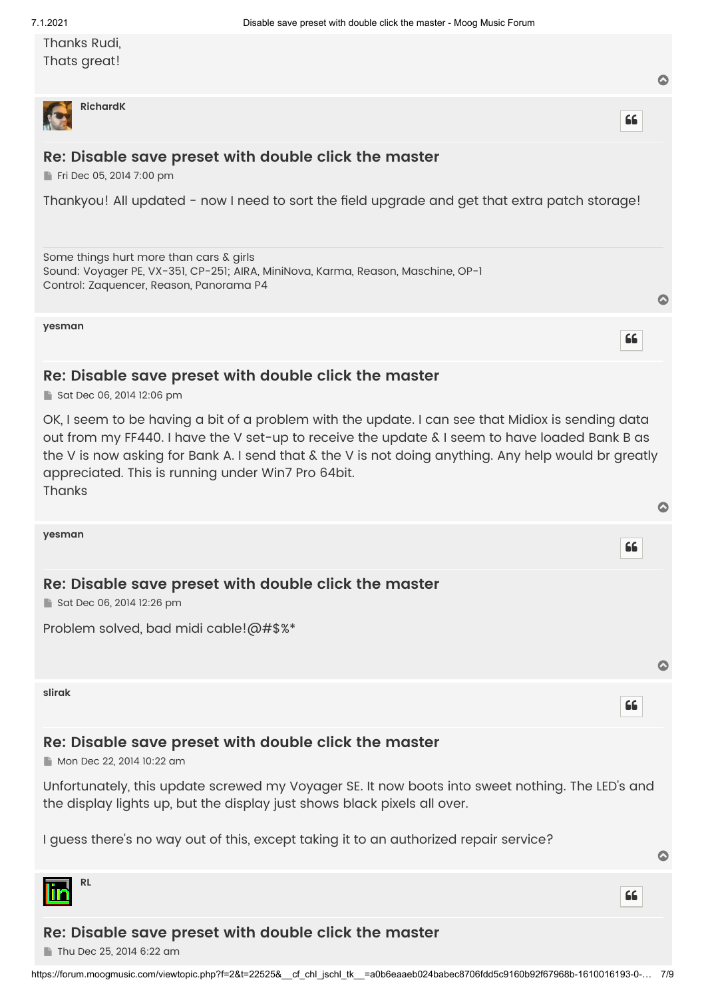Thanks Rudi, Thats great!

<span id="page-6-0"></span>

**[RichardK](https://forum.moogmusic.com/memberlist.php?mode=viewprofile&u=39093&sid=84b96ad76a83d7a4dd985c8716eb73a3)**

## **Re: [Disable](#page-6-0) save preset with double click the master**

Fri Dec 05, 2014 7:00 pm

Thankyou! All updated - now I need to sort the field upgrade and get that extra patch storage!

Some things hurt more than cars & airls Sound: Voyager PE, VX-351, CP-251; AIRA, MiniNova, Karma, Reason, Maschine, OP-1 Control: Zaquencer, Reason, Panorama P4

<span id="page-6-1"></span>**[yesman](https://forum.moogmusic.com/memberlist.php?mode=viewprofile&u=41103&sid=84b96ad76a83d7a4dd985c8716eb73a3)**

## **Re: [Disable](#page-6-1) save preset with double click the master**

Sat Dec 06, 2014 12:06 pm

OK, I seem to be having a bit of a problem with the update. I can see that Midiox is sending data out from my FF440. I have the V set-up to receive the update & I seem to have loaded Bank B as the V is now asking for Bank A. I send that & the V is not doing anything. Any help would br greatly appreciated. This is running under Win7 Pro 64bit. **Thanks** 

<span id="page-6-2"></span>

<span id="page-6-3"></span>I guess there's no way out of this, except taking it to an authorized repair service?

 $\bullet$ 

66

 $\overline{\mathbf{c}}$ 

66

 $\mathbf C$ 

66

<span id="page-6-4"></span>

# **Re: [Disable](#page-6-4) save preset with double click the master**

Thu Dec 25, 2014 6:22 am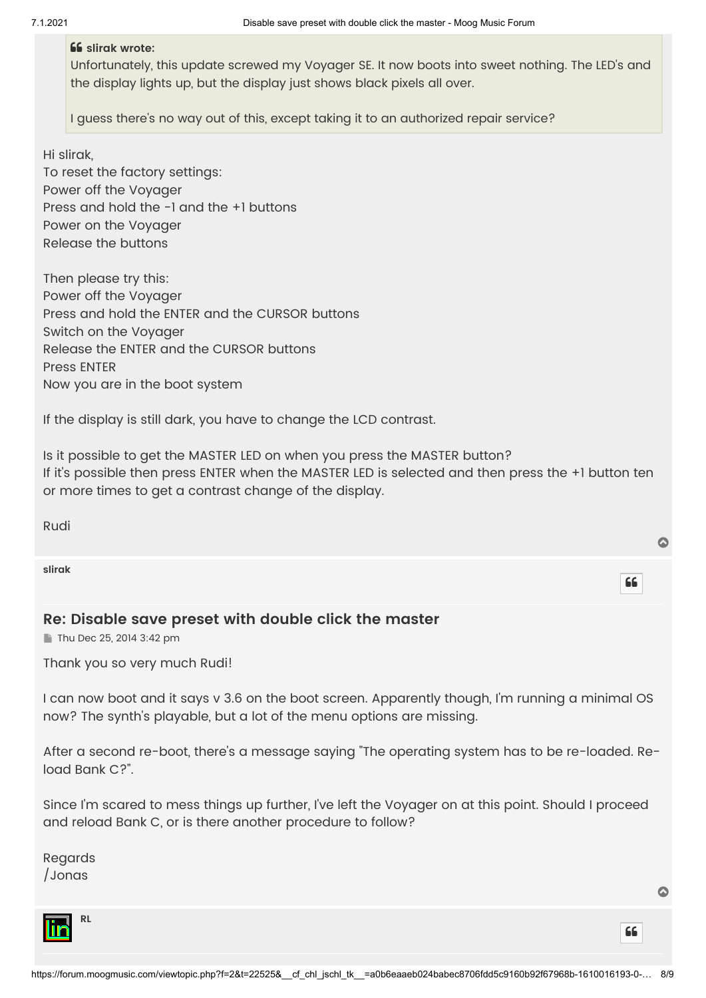#### **slirak wrote:**

Unfortunately, this update screwed my Voyager SE. It now boots into sweet nothing. The LED's and the display lights up, but the display just shows black pixels all over.

I guess there's no way out of this, except taking it to an authorized repair service?

Hi slirak,

To reset the factory settings: Power off the Voyager Press and hold the -1 and the +1 buttons Power on the Voyager Release the buttons

Then please try this: Power off the Voyager Press and hold the ENTER and the CURSOR buttons Switch on the Voyager Release the ENTER and the CURSOR buttons Press ENTER Now you are in the boot system

If the display is still dark, you have to change the LCD contrast.

Is it possible to get the MASTER LED on when you press the MASTER button? If it's possible then press ENTER when the MASTER LED is selected and then press the +1 button ten or more times to get a contrast change of the display.

Rudi

<span id="page-7-0"></span>**[slirak](https://forum.moogmusic.com/memberlist.php?mode=viewprofile&u=50106&sid=84b96ad76a83d7a4dd985c8716eb73a3)**

# **Re: [Disable](#page-7-0) save preset with double click the master**

Thu Dec 25, 2014 3:42 pm

Thank you so very much Rudi!

I can now boot and it says v 3.6 on the boot screen. Apparently though, I'm running a minimal OS now? The synth's playable, but a lot of the menu options are missing.

After a second re-boot, there's a message saying "The operating system has to be re-loaded. Reload Bank C?".

Since I'm scared to mess things up further, I've left the Voyager on at this point. Should I proceed and reload Bank C, or is there another procedure to follow?

Regards /Jonas

 $\bullet$ 

66

 $\bullet$ 

66

<span id="page-7-1"></span>